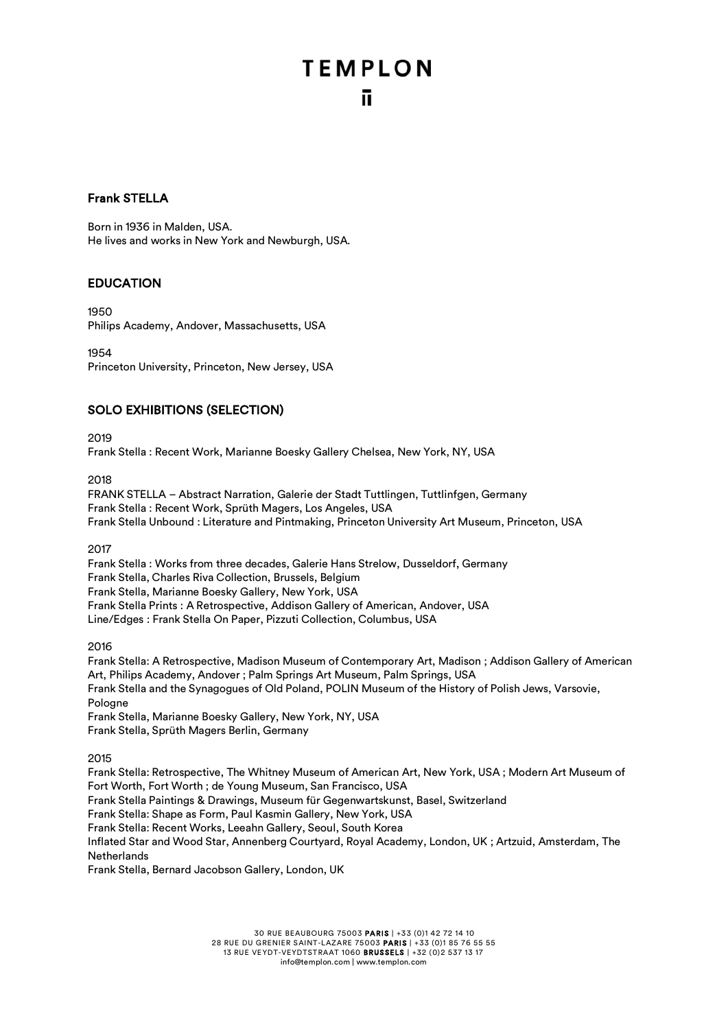# **TEMPLON** ū.

#### Frank STELLA

Born in 1936 in Malden, USA. He lives and works in New York and Newburgh, USA.

#### EDUCATION

1950 Philips Academy, Andover, Massachusetts, USA

1954 Princeton University, Princeton, New Jersey, USA

#### SOLO EXHIBITIONS (SELECTION)

2019

Frank Stella : Recent Work, Marianne Boesky Gallery Chelsea, New York, NY, USA

2018

FRANK STELLA – Abstract Narration, Galerie der Stadt Tuttlingen, Tuttlinfgen, Germany Frank Stella : Recent Work, Sprüth Magers, Los Angeles, USA Frank Stella Unbound : Literature and Pintmaking, Princeton University Art Museum, Princeton, USA

2017

Frank Stella : Works from three decades, Galerie Hans Strelow, Dusseldorf, Germany Frank Stella, Charles Riva Collection, Brussels, Belgium Frank Stella, Marianne Boesky Gallery, New York, USA Frank Stella Prints : A Retrospective, Addison Gallery of American, Andover, USA Line/Edges : Frank Stella On Paper, Pizzuti Collection, Columbus, USA

2016

Frank Stella: A Retrospective, Madison Museum of Contemporary Art, Madison ; Addison Gallery of American Art, Philips Academy, Andover ; Palm Springs Art Museum, Palm Springs, USA Frank Stella and the Synagogues of Old Poland, POLIN Museum of the History of Polish Jews, Varsovie, Pologne Frank Stella, Marianne Boesky Gallery, New York, NY, USA

Frank Stella, Sprüth Magers Berlin, Germany

2015

Frank Stella: Retrospective, The Whitney Museum of American Art, New York, USA ; Modern Art Museum of Fort Worth, Fort Worth ; de Young Museum, San Francisco, USA Frank Stella Paintings & Drawings, Museum für Gegenwartskunst, Basel, Switzerland Frank Stella: Shape as Form, Paul Kasmin Gallery, New York, USA Frank Stella: Recent Works, Leeahn Gallery, Seoul, South Korea Inflated Star and Wood Star, Annenberg Courtyard, Royal Academy, London, UK ; Artzuid, Amsterdam, The **Netherlands** Frank Stella, Bernard Jacobson Gallery, London, UK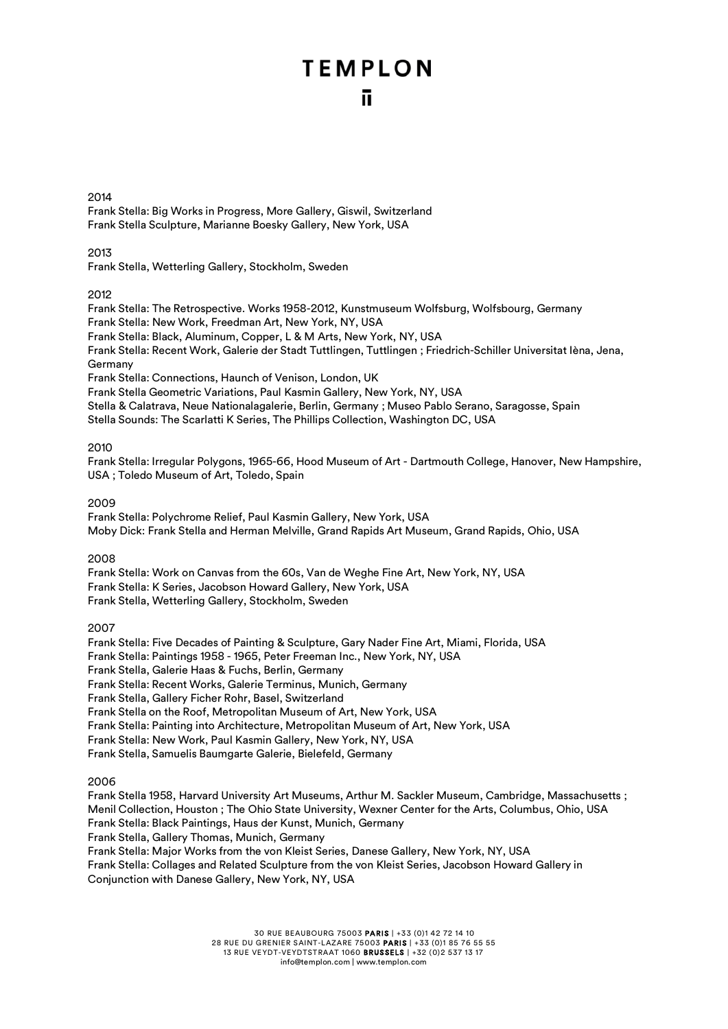#### 2014

Frank Stella: Big Works in Progress, More Gallery, Giswil, Switzerland Frank Stella Sculpture, Marianne Boesky Gallery, New York, USA

#### 2013

Frank Stella, Wetterling Gallery, Stockholm, Sweden

#### 2012

Frank Stella: The Retrospective. Works 1958-2012, Kunstmuseum Wolfsburg, Wolfsbourg, Germany Frank Stella: New Work, Freedman Art, New York, NY, USA Frank Stella: Black, Aluminum, Copper, L & M Arts, New York, NY, USA Frank Stella: Recent Work, Galerie der Stadt Tuttlingen, Tuttlingen ; Friedrich-Schiller Universitat Ièna, Jena,

#### Germany

Frank Stella: Connections, Haunch of Venison, London, UK

Frank Stella Geometric Variations, Paul Kasmin Gallery, New York, NY, USA

Stella & Calatrava, Neue Nationalagalerie, Berlin, Germany ; Museo Pablo Serano, Saragosse, Spain

Stella Sounds: The Scarlatti K Series, The Phillips Collection, Washington DC, USA

#### 2010

Frank Stella: Irregular Polygons, 1965-66, Hood Museum of Art - Dartmouth College, Hanover, New Hampshire, USA ; Toledo Museum of Art, Toledo, Spain

#### 2009

Frank Stella: Polychrome Relief, Paul Kasmin Gallery, New York, USA Moby Dick: Frank Stella and Herman Melville, Grand Rapids Art Museum, Grand Rapids, Ohio, USA

#### 2008

Frank Stella: Work on Canvas from the 60s, Van de Weghe Fine Art, New York, NY, USA Frank Stella: K Series, Jacobson Howard Gallery, New York, USA Frank Stella, Wetterling Gallery, Stockholm, Sweden

2007

Frank Stella: Five Decades of Painting & Sculpture, Gary Nader Fine Art, Miami, Florida, USA Frank Stella: Paintings 1958 - 1965, Peter Freeman Inc., New York, NY, USA Frank Stella, Galerie Haas & Fuchs, Berlin, Germany Frank Stella: Recent Works, Galerie Terminus, Munich, Germany Frank Stella, Gallery Ficher Rohr, Basel, Switzerland Frank Stella on the Roof, Metropolitan Museum of Art, New York, USA Frank Stella: Painting into Architecture, Metropolitan Museum of Art, New York, USA Frank Stella: New Work, Paul Kasmin Gallery, New York, NY, USA Frank Stella, Samuelis Baumgarte Galerie, Bielefeld, Germany

#### 2006

Frank Stella 1958, Harvard University Art Museums, Arthur M. Sackler Museum, Cambridge, Massachusetts ; Menil Collection, Houston ; The Ohio State University, Wexner Center for the Arts, Columbus, Ohio, USA Frank Stella: Black Paintings, Haus der Kunst, Munich, Germany Frank Stella, Gallery Thomas, Munich, Germany Frank Stella: Major Works from the von Kleist Series, Danese Gallery, New York, NY, USA Frank Stella: Collages and Related Sculpture from the von Kleist Series, Jacobson Howard Gallery in Conjunction with Danese Gallery, New York, NY, USA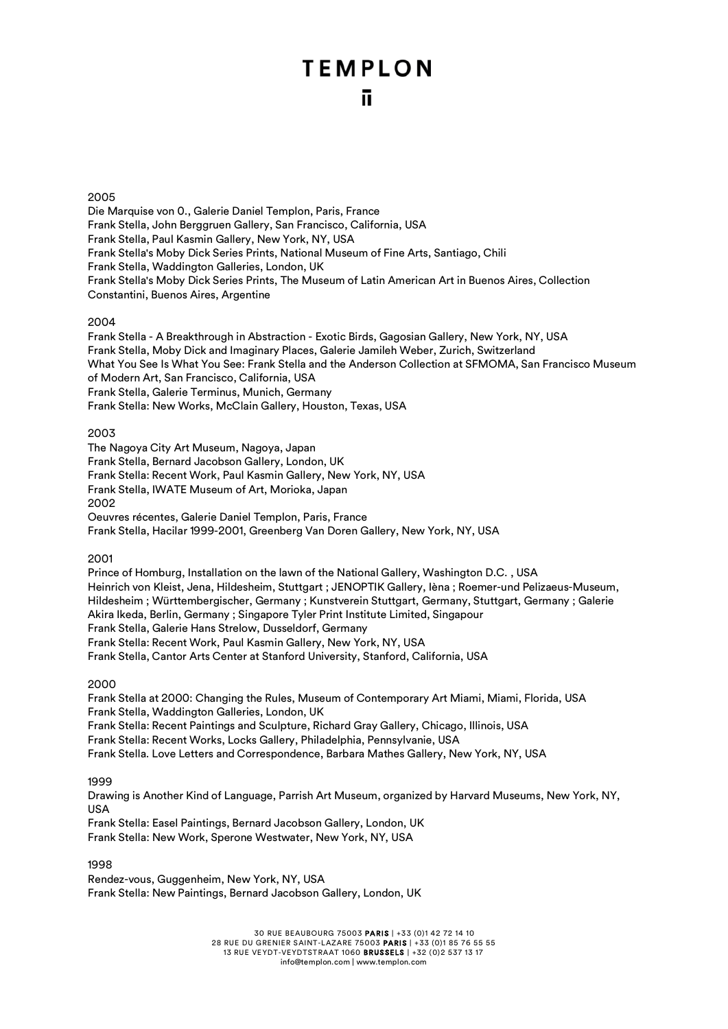#### 2005

Die Marquise von 0., Galerie Daniel Templon, Paris, France Frank Stella, John Berggruen Gallery, San Francisco, California, USA Frank Stella, Paul Kasmin Gallery, New York, NY, USA Frank Stella's Moby Dick Series Prints, National Museum of Fine Arts, Santiago, Chili Frank Stella, Waddington Galleries, London, UK Frank Stella's Moby Dick Series Prints, The Museum of Latin American Art in Buenos Aires, Collection Constantini, Buenos Aires, Argentine

#### 2004

Frank Stella - A Breakthrough in Abstraction - Exotic Birds, Gagosian Gallery, New York, NY, USA Frank Stella, Moby Dick and Imaginary Places, Galerie Jamileh Weber, Zurich, Switzerland What You See Is What You See: Frank Stella and the Anderson Collection at SFMOMA, San Francisco Museum of Modern Art, San Francisco, California, USA Frank Stella, Galerie Terminus, Munich, Germany Frank Stella: New Works, McClain Gallery, Houston, Texas, USA

#### 2003

The Nagoya City Art Museum, Nagoya, Japan Frank Stella, Bernard Jacobson Gallery, London, UK Frank Stella: Recent Work, Paul Kasmin Gallery, New York, NY, USA Frank Stella, IWATE Museum of Art, Morioka, Japan 2002 Oeuvres récentes, Galerie Daniel Templon, Paris, France

Frank Stella, Hacilar 1999-2001, Greenberg Van Doren Gallery, New York, NY, USA

#### 2001

Prince of Homburg, Installation on the lawn of the National Gallery, Washington D.C. , USA Heinrich von Kleist, Jena, Hildesheim, Stuttgart ; JENOPTIK Gallery, Ièna ; Roemer-und Pelizaeus-Museum, Hildesheim ; Württembergischer, Germany ; Kunstverein Stuttgart, Germany, Stuttgart, Germany ; Galerie Akira Ikeda, Berlin, Germany ; Singapore Tyler Print Institute Limited, Singapour Frank Stella, Galerie Hans Strelow, Dusseldorf, Germany Frank Stella: Recent Work, Paul Kasmin Gallery, New York, NY, USA Frank Stella, Cantor Arts Center at Stanford University, Stanford, California, USA

#### 2000

Frank Stella at 2000: Changing the Rules, Museum of Contemporary Art Miami, Miami, Florida, USA Frank Stella, Waddington Galleries, London, UK Frank Stella: Recent Paintings and Sculpture, Richard Gray Gallery, Chicago, Illinois, USA Frank Stella: Recent Works, Locks Gallery, Philadelphia, Pennsylvanie, USA Frank Stella. Love Letters and Correspondence, Barbara Mathes Gallery, New York, NY, USA

#### 1999

Drawing is Another Kind of Language, Parrish Art Museum, organized by Harvard Museums, New York, NY, USA

Frank Stella: Easel Paintings, Bernard Jacobson Gallery, London, UK Frank Stella: New Work, Sperone Westwater, New York, NY, USA

#### 1998

Rendez-vous, Guggenheim, New York, NY, USA Frank Stella: New Paintings, Bernard Jacobson Gallery, London, UK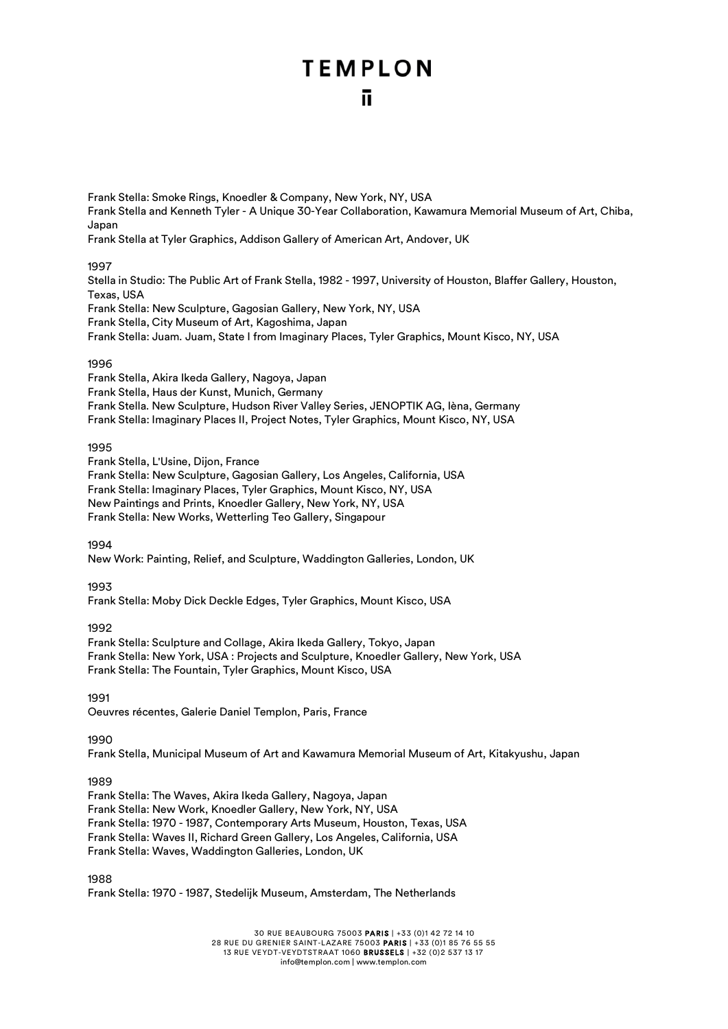Frank Stella: Smoke Rings, Knoedler & Company, New York, NY, USA Frank Stella and Kenneth Tyler - A Unique 30-Year Collaboration, Kawamura Memorial Museum of Art, Chiba, Japan

Frank Stella at Tyler Graphics, Addison Gallery of American Art, Andover, UK

#### 1997

Stella in Studio: The Public Art of Frank Stella, 1982 - 1997, University of Houston, Blaffer Gallery, Houston, Texas, USA

Frank Stella: New Sculpture, Gagosian Gallery, New York, NY, USA

Frank Stella, City Museum of Art, Kagoshima, Japan

Frank Stella: Juam. Juam, State I from Imaginary Places, Tyler Graphics, Mount Kisco, NY, USA

#### 1996

Frank Stella, Akira Ikeda Gallery, Nagoya, Japan Frank Stella, Haus der Kunst, Munich, Germany Frank Stella. New Sculpture, Hudson River Valley Series, JENOPTIK AG, Ièna, Germany Frank Stella: Imaginary Places II, Project Notes, Tyler Graphics, Mount Kisco, NY, USA

#### 1995

Frank Stella, L'Usine, Dijon, France

Frank Stella: New Sculpture, Gagosian Gallery, Los Angeles, California, USA Frank Stella: Imaginary Places, Tyler Graphics, Mount Kisco, NY, USA New Paintings and Prints, Knoedler Gallery, New York, NY, USA Frank Stella: New Works, Wetterling Teo Gallery, Singapour

1994

New Work: Painting, Relief, and Sculpture, Waddington Galleries, London, UK

#### 1993

Frank Stella: Moby Dick Deckle Edges, Tyler Graphics, Mount Kisco, USA

#### 1992

Frank Stella: Sculpture and Collage, Akira Ikeda Gallery, Tokyo, Japan Frank Stella: New York, USA : Projects and Sculpture, Knoedler Gallery, New York, USA Frank Stella: The Fountain, Tyler Graphics, Mount Kisco, USA

1991

Oeuvres récentes, Galerie Daniel Templon, Paris, France

1990

Frank Stella, Municipal Museum of Art and Kawamura Memorial Museum of Art, Kitakyushu, Japan

#### 1989

Frank Stella: The Waves, Akira Ikeda Gallery, Nagoya, Japan Frank Stella: New Work, Knoedler Gallery, New York, NY, USA Frank Stella: 1970 - 1987, Contemporary Arts Museum, Houston, Texas, USA Frank Stella: Waves II, Richard Green Gallery, Los Angeles, California, USA Frank Stella: Waves, Waddington Galleries, London, UK

1988

Frank Stella: 1970 - 1987, Stedelijk Museum, Amsterdam, The Netherlands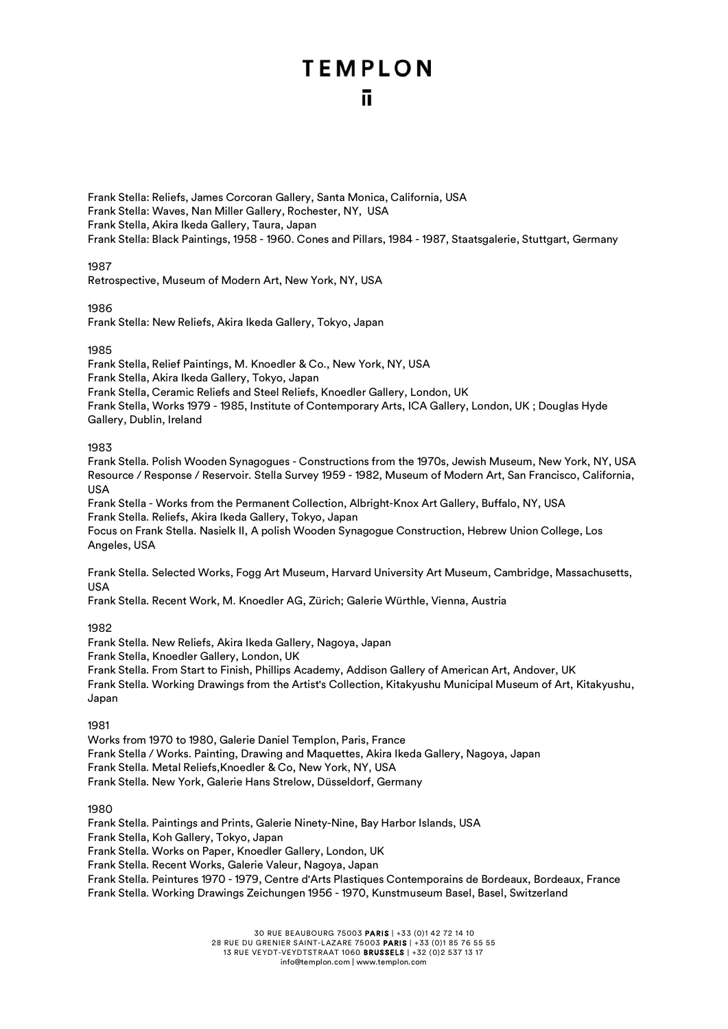Frank Stella: Reliefs, James Corcoran Gallery, Santa Monica, California, USA Frank Stella: Waves, Nan Miller Gallery, Rochester, NY, USA Frank Stella, Akira Ikeda Gallery, Taura, Japan Frank Stella: Black Paintings, 1958 - 1960. Cones and Pillars, 1984 - 1987, Staatsgalerie, Stuttgart, Germany

1987

Retrospective, Museum of Modern Art, New York, NY, USA

1986

Frank Stella: New Reliefs, Akira Ikeda Gallery, Tokyo, Japan

#### 1985

Frank Stella, Relief Paintings, M. Knoedler & Co., New York, NY, USA Frank Stella, Akira Ikeda Gallery, Tokyo, Japan Frank Stella, Ceramic Reliefs and Steel Reliefs, Knoedler Gallery, London, UK Frank Stella, Works 1979 - 1985, Institute of Contemporary Arts, ICA Gallery, London, UK ; Douglas Hyde Gallery, Dublin, Ireland

1983

Frank Stella. Polish Wooden Synagogues - Constructions from the 1970s, Jewish Museum, New York, NY, USA Resource / Response / Reservoir. Stella Survey 1959 - 1982, Museum of Modern Art, San Francisco, California, USA

Frank Stella - Works from the Permanent Collection, Albright-Knox Art Gallery, Buffalo, NY, USA Frank Stella. Reliefs, Akira Ikeda Gallery, Tokyo, Japan

Focus on Frank Stella. Nasielk II, A polish Wooden Synagogue Construction, Hebrew Union College, Los Angeles, USA

Frank Stella. Selected Works, Fogg Art Museum, Harvard University Art Museum, Cambridge, Massachusetts, USA

Frank Stella. Recent Work, M. Knoedler AG, Zürich; Galerie Würthle, Vienna, Austria

#### 1982

Frank Stella. New Reliefs, Akira Ikeda Gallery, Nagoya, Japan

Frank Stella, Knoedler Gallery, London, UK

Frank Stella. From Start to Finish, Phillips Academy, Addison Gallery of American Art, Andover, UK Frank Stella. Working Drawings from the Artist's Collection, Kitakyushu Municipal Museum of Art, Kitakyushu, Japan

1981

Works from 1970 to 1980, Galerie Daniel Templon, Paris, France Frank Stella / Works. Painting, Drawing and Maquettes, Akira Ikeda Gallery, Nagoya, Japan Frank Stella. Metal Reliefs,Knoedler & Co, New York, NY, USA Frank Stella. New York, Galerie Hans Strelow, Düsseldorf, Germany

1980

Frank Stella. Paintings and Prints, Galerie Ninety-Nine, Bay Harbor Islands, USA

Frank Stella, Koh Gallery, Tokyo, Japan

Frank Stella. Works on Paper, Knoedler Gallery, London, UK

Frank Stella. Recent Works, Galerie Valeur, Nagoya, Japan

Frank Stella. Peintures 1970 - 1979, Centre d'Arts Plastiques Contemporains de Bordeaux, Bordeaux, France Frank Stella. Working Drawings Zeichungen 1956 - 1970, Kunstmuseum Basel, Basel, Switzerland

30 RUE BEAUBOURG 75003 PARIS | +33 (0)1 42 72 14 10

28 RUE DU GRENIER SAINT-LAZARE 75003 PARIS | +33 (0)1 85 76 55 55 13 RUE VEYDT-VEYDTSTRAAT 1060 BRUSSELS | +32 (0)2 537 13 17

info@templon.com | www.templon.com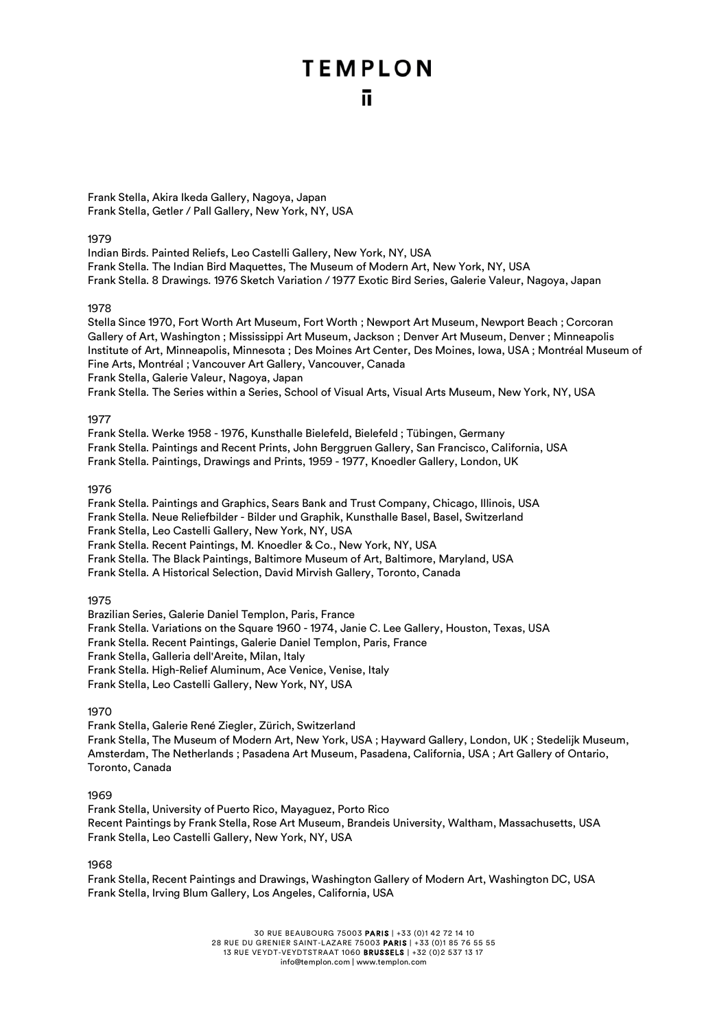Frank Stella, Akira Ikeda Gallery, Nagoya, Japan Frank Stella, Getler / Pall Gallery, New York, NY, USA

#### 1979

Indian Birds. Painted Reliefs, Leo Castelli Gallery, New York, NY, USA Frank Stella. The Indian Bird Maquettes, The Museum of Modern Art, New York, NY, USA Frank Stella. 8 Drawings. 1976 Sketch Variation / 1977 Exotic Bird Series, Galerie Valeur, Nagoya, Japan

#### 1978

Stella Since 1970, Fort Worth Art Museum, Fort Worth ; Newport Art Museum, Newport Beach ; Corcoran Gallery of Art, Washington ; Mississippi Art Museum, Jackson ; Denver Art Museum, Denver ; Minneapolis Institute of Art, Minneapolis, Minnesota ; Des Moines Art Center, Des Moines, Iowa, USA ; Montréal Museum of Fine Arts, Montréal ; Vancouver Art Gallery, Vancouver, Canada Frank Stella, Galerie Valeur, Nagoya, Japan Frank Stella. The Series within a Series, School of Visual Arts, Visual Arts Museum, New York, NY, USA

#### 1977

Frank Stella. Werke 1958 - 1976, Kunsthalle Bielefeld, Bielefeld ; Tübingen, Germany Frank Stella. Paintings and Recent Prints, John Berggruen Gallery, San Francisco, California, USA Frank Stella. Paintings, Drawings and Prints, 1959 - 1977, Knoedler Gallery, London, UK

#### 1976

Frank Stella. Paintings and Graphics, Sears Bank and Trust Company, Chicago, Illinois, USA Frank Stella. Neue Reliefbilder - Bilder und Graphik, Kunsthalle Basel, Basel, Switzerland Frank Stella, Leo Castelli Gallery, New York, NY, USA Frank Stella. Recent Paintings, M. Knoedler & Co., New York, NY, USA Frank Stella. The Black Paintings, Baltimore Museum of Art, Baltimore, Maryland, USA

Frank Stella. A Historical Selection, David Mirvish Gallery, Toronto, Canada

#### 1975

Brazilian Series, Galerie Daniel Templon, Paris, France Frank Stella. Variations on the Square 1960 - 1974, Janie C. Lee Gallery, Houston, Texas, USA Frank Stella. Recent Paintings, Galerie Daniel Templon, Paris, France Frank Stella, Galleria dell'Areite, Milan, Italy Frank Stella. High-Relief Aluminum, Ace Venice, Venise, Italy Frank Stella, Leo Castelli Gallery, New York, NY, USA

#### 1970

Frank Stella, Galerie René Ziegler, Zürich, Switzerland Frank Stella, The Museum of Modern Art, New York, USA ; Hayward Gallery, London, UK ; Stedelijk Museum, Amsterdam, The Netherlands ; Pasadena Art Museum, Pasadena, California, USA ; Art Gallery of Ontario, Toronto, Canada

#### 1969

Frank Stella, University of Puerto Rico, Mayaguez, Porto Rico Recent Paintings by Frank Stella, Rose Art Museum, Brandeis University, Waltham, Massachusetts, USA Frank Stella, Leo Castelli Gallery, New York, NY, USA

1968

Frank Stella, Recent Paintings and Drawings, Washington Gallery of Modern Art, Washington DC, USA Frank Stella, Irving Blum Gallery, Los Angeles, California, USA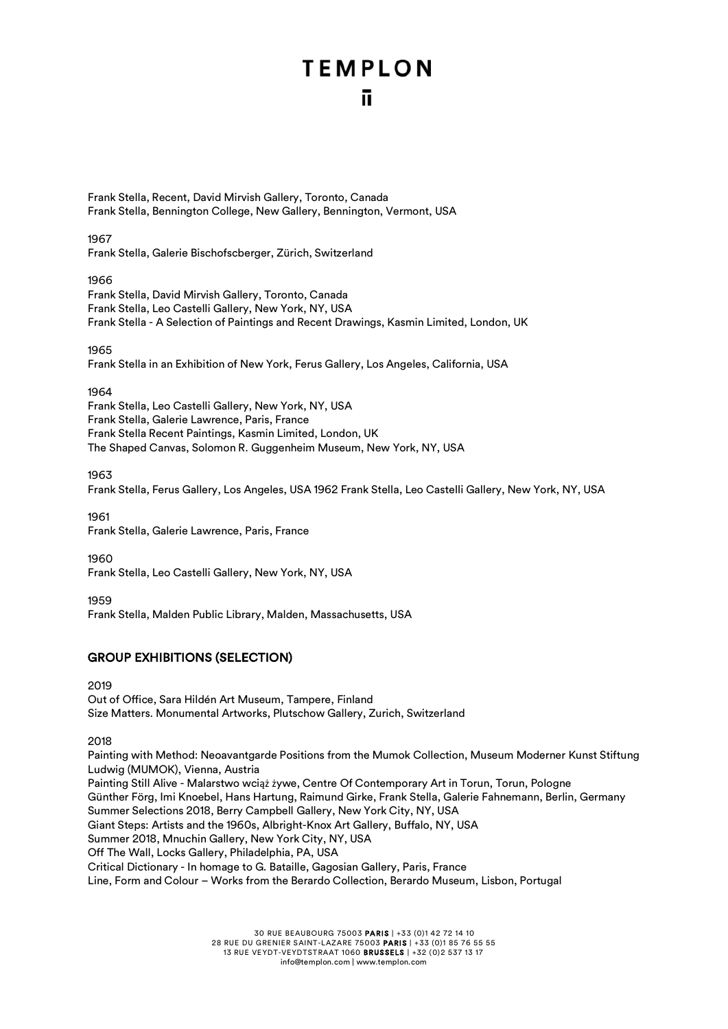Frank Stella, Recent, David Mirvish Gallery, Toronto, Canada Frank Stella, Bennington College, New Gallery, Bennington, Vermont, USA

1967

Frank Stella, Galerie Bischofscberger, Zürich, Switzerland

1966 Frank Stella, David Mirvish Gallery, Toronto, Canada Frank Stella, Leo Castelli Gallery, New York, NY, USA Frank Stella - A Selection of Paintings and Recent Drawings, Kasmin Limited, London, UK

1965

Frank Stella in an Exhibition of New York, Ferus Gallery, Los Angeles, California, USA

1964

Frank Stella, Leo Castelli Gallery, New York, NY, USA Frank Stella, Galerie Lawrence, Paris, France Frank Stella Recent Paintings, Kasmin Limited, London, UK The Shaped Canvas, Solomon R. Guggenheim Museum, New York, NY, USA

1963

Frank Stella, Ferus Gallery, Los Angeles, USA 1962 Frank Stella, Leo Castelli Gallery, New York, NY, USA

1961 Frank Stella, Galerie Lawrence, Paris, France

1960

Frank Stella, Leo Castelli Gallery, New York, NY, USA

1959

Frank Stella, Malden Public Library, Malden, Massachusetts, USA

#### GROUP EXHIBITIONS (SELECTION)

2019 Out of Office, Sara Hildén Art Museum, Tampere, Finland Size Matters. Monumental Artworks, Plutschow Gallery, Zurich, Switzerland

2018

Painting with Method: Neoavantgarde Positions from the Mumok Collection, Museum Moderner Kunst Stiftung Ludwig (MUMOK), Vienna, Austria Painting Still Alive - Malarstwo wciąż żywe, Centre Of Contemporary Art in Torun, Torun, Pologne Günther Förg, Imi Knoebel, Hans Hartung, Raimund Girke, Frank Stella, Galerie Fahnemann, Berlin, Germany Summer Selections 2018, Berry Campbell Gallery, New York City, NY, USA Giant Steps: Artists and the 1960s, Albright-Knox Art Gallery, Buffalo, NY, USA Summer 2018, Mnuchin Gallery, New York City, NY, USA Off The Wall, Locks Gallery, Philadelphia, PA, USA Critical Dictionary - In homage to G. Bataille, Gagosian Gallery, Paris, France Line, Form and Colour – Works from the Berardo Collection, Berardo Museum, Lisbon, Portugal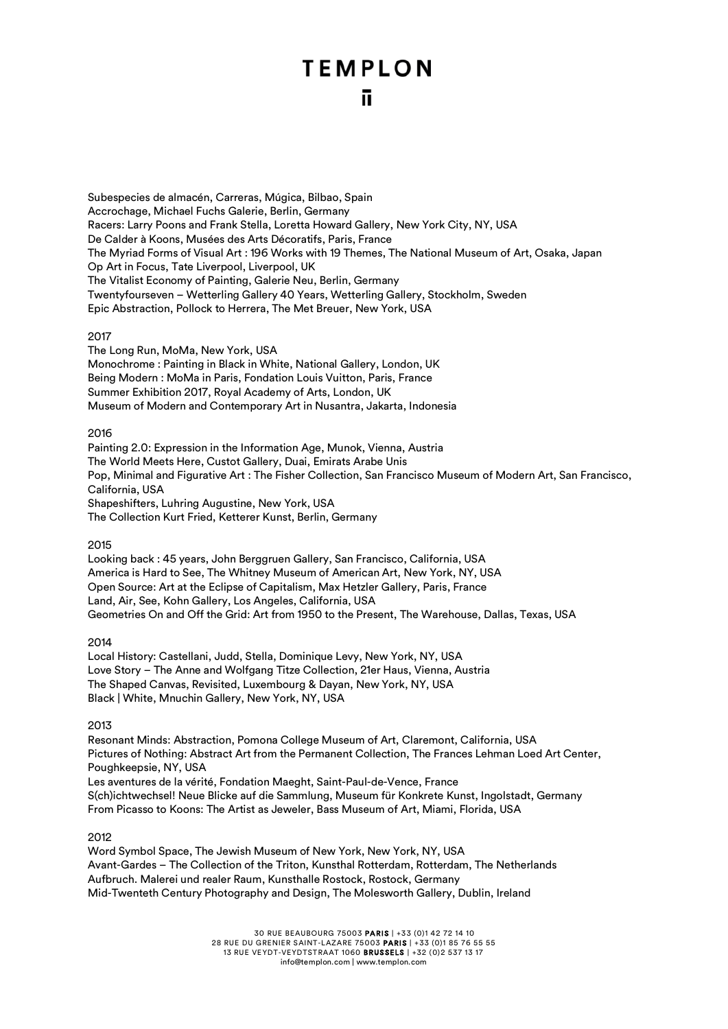Subespecies de almacén, Carreras, Múgica, Bilbao, Spain Accrochage, Michael Fuchs Galerie, Berlin, Germany Racers: Larry Poons and Frank Stella, Loretta Howard Gallery, New York City, NY, USA De Calder à Koons, Musées des Arts Décoratifs, Paris, France The Myriad Forms of Visual Art : 196 Works with 19 Themes, The National Museum of Art, Osaka, Japan Op Art in Focus, Tate Liverpool, Liverpool, UK The Vitalist Economy of Painting, Galerie Neu, Berlin, Germany Twentyfourseven – Wetterling Gallery 40 Years, Wetterling Gallery, Stockholm, Sweden Epic Abstraction, Pollock to Herrera, The Met Breuer, New York, USA

#### 2017

The Long Run, MoMa, New York, USA Monochrome : Painting in Black in White, National Gallery, London, UK Being Modern : MoMa in Paris, Fondation Louis Vuitton, Paris, France Summer Exhibition 2017, Royal Academy of Arts, London, UK Museum of Modern and Contemporary Art in Nusantra, Jakarta, Indonesia

#### 2016

Painting 2.0: Expression in the Information Age, Munok, Vienna, Austria The World Meets Here, Custot Gallery, Duai, Emirats Arabe Unis Pop, Minimal and Figurative Art : The Fisher Collection, San Francisco Museum of Modern Art, San Francisco, California, USA Shapeshifters, Luhring Augustine, New York, USA The Collection Kurt Fried, Ketterer Kunst, Berlin, Germany

#### 2015

Looking back : 45 years, John Berggruen Gallery, San Francisco, California, USA America is Hard to See, The Whitney Museum of American Art, New York, NY, USA Open Source: Art at the Eclipse of Capitalism, Max Hetzler Gallery, Paris, France Land, Air, See, Kohn Gallery, Los Angeles, California, USA Geometries On and Off the Grid: Art from 1950 to the Present, The Warehouse, Dallas, Texas, USA

#### 2014

Local History: Castellani, Judd, Stella, Dominique Levy, New York, NY, USA Love Story – The Anne and Wolfgang Titze Collection, 21er Haus, Vienna, Austria The Shaped Canvas, Revisited, Luxembourg & Dayan, New York, NY, USA Black | White, Mnuchin Gallery, New York, NY, USA

#### 2013

Resonant Minds: Abstraction, Pomona College Museum of Art, Claremont, California, USA Pictures of Nothing: Abstract Art from the Permanent Collection, The Frances Lehman Loed Art Center, Poughkeepsie, NY, USA Les aventures de la vérité, Fondation Maeght, Saint-Paul-de-Vence, France S(ch)ichtwechsel! Neue Blicke auf die Sammlung, Museum für Konkrete Kunst, Ingolstadt, Germany From Picasso to Koons: The Artist as Jeweler, Bass Museum of Art, Miami, Florida, USA

#### 2012

Word Symbol Space, The Jewish Museum of New York, New York, NY, USA Avant-Gardes – The Collection of the Triton, Kunsthal Rotterdam, Rotterdam, The Netherlands Aufbruch. Malerei und realer Raum, Kunsthalle Rostock, Rostock, Germany Mid-Twenteth Century Photography and Design, The Molesworth Gallery, Dublin, Ireland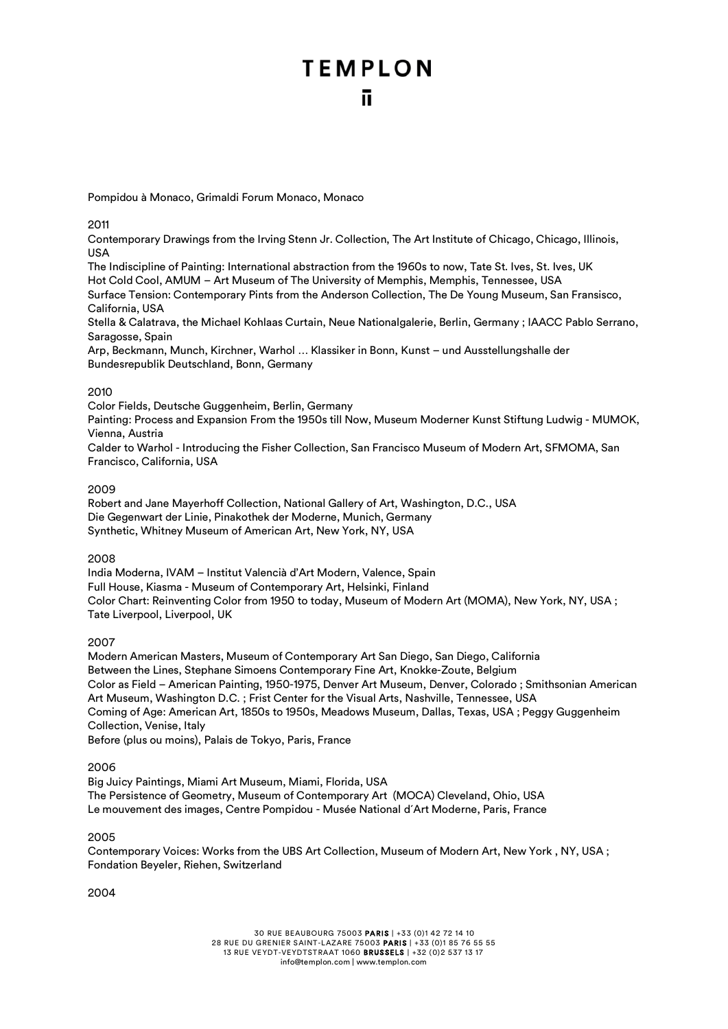Pompidou à Monaco, Grimaldi Forum Monaco, Monaco

2011

Contemporary Drawings from the Irving Stenn Jr. Collection, The Art Institute of Chicago, Chicago, Illinois, USA

The Indiscipline of Painting: International abstraction from the 1960s to now, Tate St. Ives, St. Ives, UK Hot Cold Cool, AMUM – Art Museum of The University of Memphis, Memphis, Tennessee, USA Surface Tension: Contemporary Pints from the Anderson Collection, The De Young Museum, San Fransisco, California, USA

Stella & Calatrava, the Michael Kohlaas Curtain, Neue Nationalgalerie, Berlin, Germany ; IAACC Pablo Serrano, Saragosse, Spain

Arp, Beckmann, Munch, Kirchner, Warhol … Klassiker in Bonn, Kunst – und Ausstellungshalle der Bundesrepublik Deutschland, Bonn, Germany

#### 2010

Color Fields, Deutsche Guggenheim, Berlin, Germany

Painting: Process and Expansion From the 1950s till Now, Museum Moderner Kunst Stiftung Ludwig - MUMOK, Vienna, Austria

Calder to Warhol - Introducing the Fisher Collection, San Francisco Museum of Modern Art, SFMOMA, San Francisco, California, USA

#### 2009

Robert and Jane Mayerhoff Collection, National Gallery of Art, Washington, D.C., USA Die Gegenwart der Linie, Pinakothek der Moderne, Munich, Germany Synthetic, Whitney Museum of American Art, New York, NY, USA

#### 2008

India Moderna, IVAM – Institut Valencià d'Art Modern, Valence, Spain Full House, Kiasma - Museum of Contemporary Art, Helsinki, Finland Color Chart: Reinventing Color from 1950 to today, Museum of Modern Art (MOMA), New York, NY, USA ; Tate Liverpool, Liverpool, UK

2007

Modern American Masters, Museum of Contemporary Art San Diego, San Diego, California Between the Lines, Stephane Simoens Contemporary Fine Art, Knokke-Zoute, Belgium Color as Field – American Painting, 1950-1975, Denver Art Museum, Denver, Colorado ; Smithsonian American Art Museum, Washington D.C. ; Frist Center for the Visual Arts, Nashville, Tennessee, USA Coming of Age: American Art, 1850s to 1950s, Meadows Museum, Dallas, Texas, USA ; Peggy Guggenheim Collection, Venise, Italy

Before (plus ou moins), Palais de Tokyo, Paris, France

#### 2006

Big Juicy Paintings, Miami Art Museum, Miami, Florida, USA The Persistence of Geometry, Museum of Contemporary Art (MOCA) Cleveland, Ohio, USA Le mouvement des images, Centre Pompidou - Musée National d´Art Moderne, Paris, France

2005

Contemporary Voices: Works from the UBS Art Collection, Museum of Modern Art, New York , NY, USA ; Fondation Beyeler, Riehen, Switzerland

2004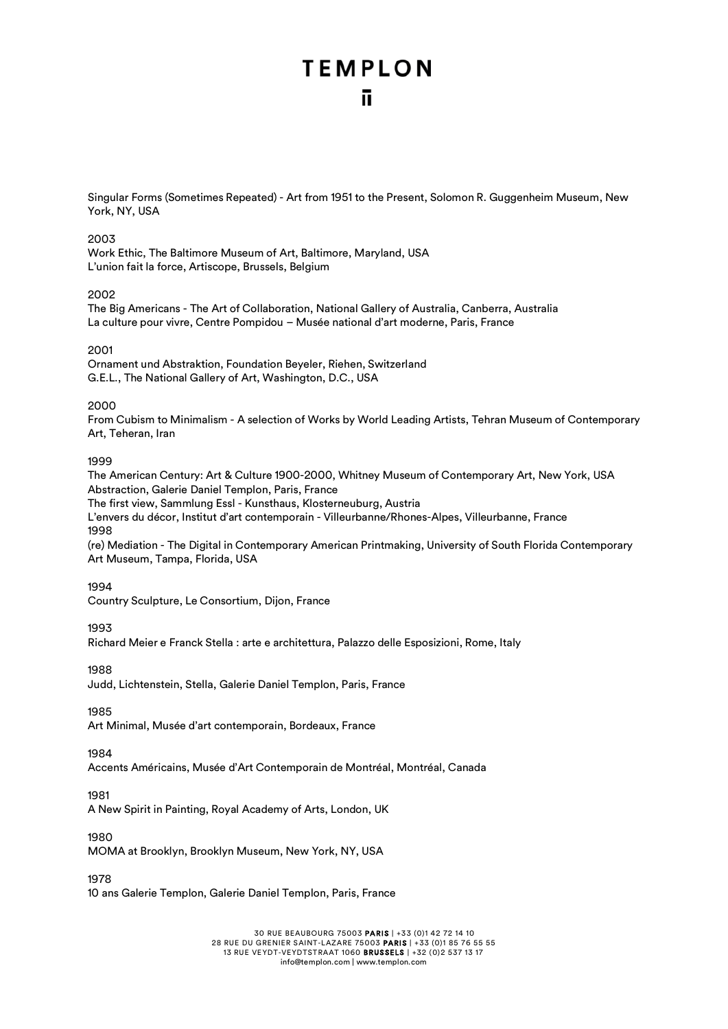Singular Forms (Sometimes Repeated) - Art from 1951 to the Present, Solomon R. Guggenheim Museum, New York, NY, USA

#### 2003

Work Ethic, The Baltimore Museum of Art, Baltimore, Maryland, USA L'union fait la force, Artiscope, Brussels, Belgium

#### 2002

The Big Americans - The Art of Collaboration, National Gallery of Australia, Canberra, Australia La culture pour vivre, Centre Pompidou – Musée national d'art moderne, Paris, France

#### 2001

Ornament und Abstraktion, Foundation Beyeler, Riehen, Switzerland G.E.L., The National Gallery of Art, Washington, D.C., USA

#### 2000

From Cubism to Minimalism - A selection of Works by World Leading Artists, Tehran Museum of Contemporary Art, Teheran, Iran

#### 1999

The American Century: Art & Culture 1900-2000, Whitney Museum of Contemporary Art, New York, USA Abstraction, Galerie Daniel Templon, Paris, France

The first view, Sammlung Essl - Kunsthaus, Klosterneuburg, Austria

L'envers du décor, Institut d'art contemporain - Villeurbanne/Rhones-Alpes, Villeurbanne, France 1998

(re) Mediation - The Digital in Contemporary American Printmaking, University of South Florida Contemporary Art Museum, Tampa, Florida, USA

#### 1994

Country Sculpture, Le Consortium, Dijon, France

#### 1993

Richard Meier e Franck Stella : arte e architettura, Palazzo delle Esposizioni, Rome, Italy

1988

Judd, Lichtenstein, Stella, Galerie Daniel Templon, Paris, France

#### 1985

Art Minimal, Musée d'art contemporain, Bordeaux, France

#### 1984

Accents Américains, Musée d'Art Contemporain de Montréal, Montréal, Canada

#### 1981

A New Spirit in Painting, Royal Academy of Arts, London, UK

#### 1980

MOMA at Brooklyn, Brooklyn Museum, New York, NY, USA

1978

10 ans Galerie Templon, Galerie Daniel Templon, Paris, France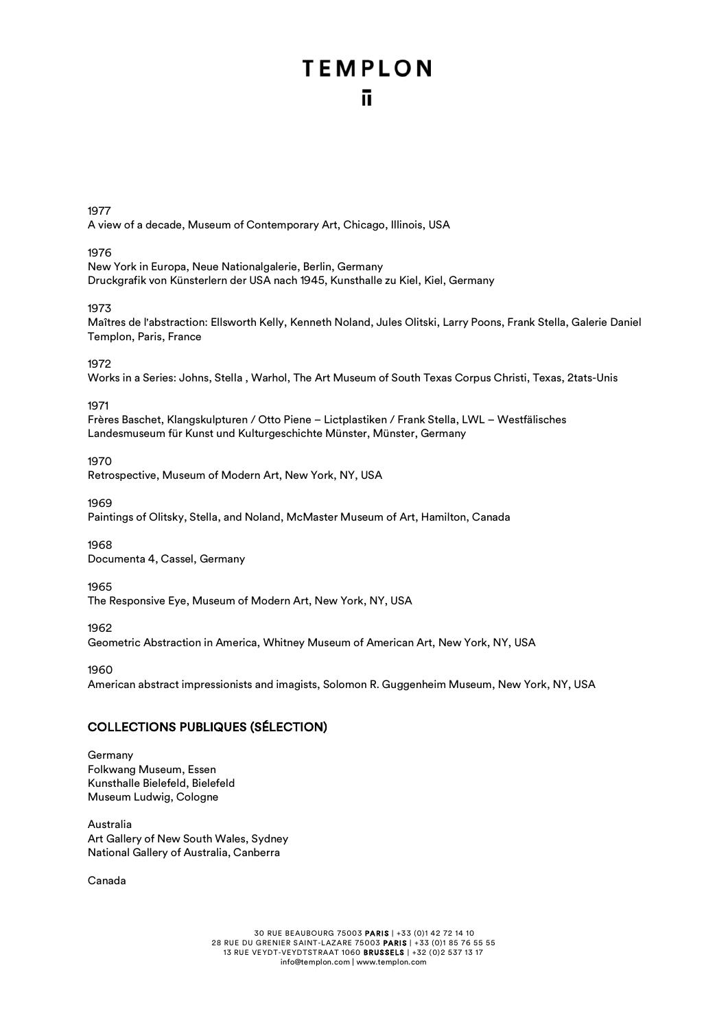1977

A view of a decade, Museum of Contemporary Art, Chicago, Illinois, USA

#### 1976

New York in Europa, Neue Nationalgalerie, Berlin, Germany Druckgrafik von Künsterlern der USA nach 1945, Kunsthalle zu Kiel, Kiel, Germany

#### 1973

Maîtres de l'abstraction: Ellsworth Kelly, Kenneth Noland, Jules Olitski, Larry Poons, Frank Stella, Galerie Daniel Templon, Paris, France

#### 1972

Works in a Series: Johns, Stella , Warhol, The Art Museum of South Texas Corpus Christi, Texas, 2tats-Unis

#### 1971

Frères Baschet, Klangskulpturen / Otto Piene – Lictplastiken / Frank Stella, LWL – Westfälisches Landesmuseum für Kunst und Kulturgeschichte Münster, Münster, Germany

#### 1970

Retrospective, Museum of Modern Art, New York, NY, USA

#### 1969

Paintings of Olitsky, Stella, and Noland, McMaster Museum of Art, Hamilton, Canada

#### 1968

Documenta 4, Cassel, Germany

#### 1965

The Responsive Eye, Museum of Modern Art, New York, NY, USA

#### 1962

Geometric Abstraction in America, Whitney Museum of American Art, New York, NY, USA

#### 1960

American abstract impressionists and imagists, Solomon R. Guggenheim Museum, New York, NY, USA

#### COLLECTIONS PUBLIQUES (SÉLECTION)

#### Germany Folkwang Museum, Essen Kunsthalle Bielefeld, Bielefeld Museum Ludwig, Cologne

Australia Art Gallery of New South Wales, Sydney National Gallery of Australia, Canberra

Canada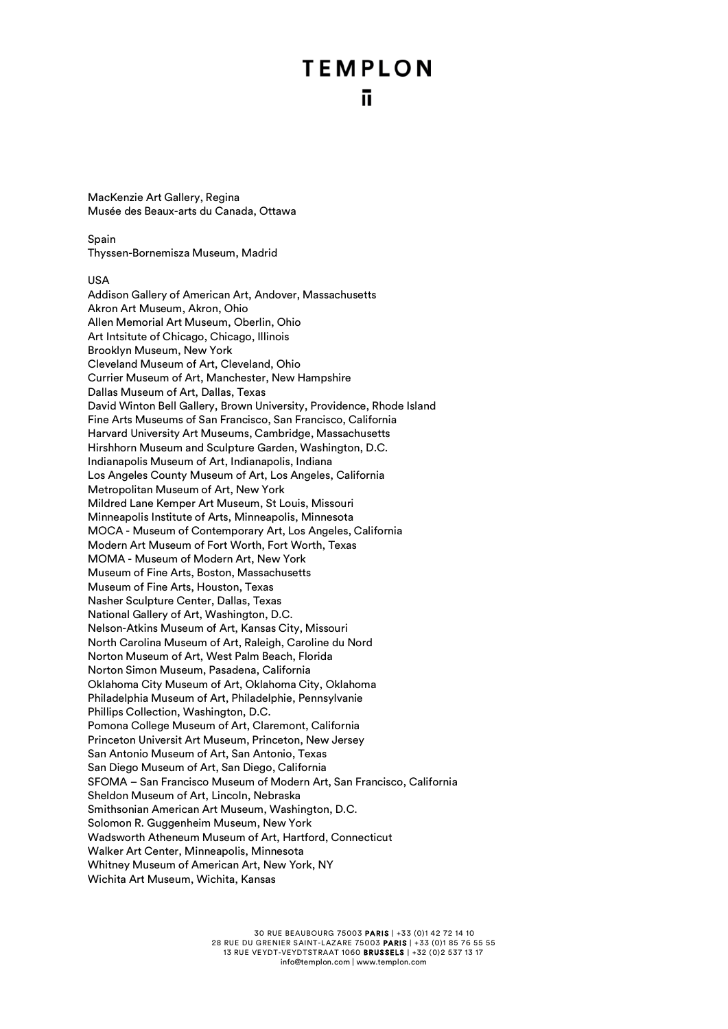MacKenzie Art Gallery, Regina Musée des Beaux-arts du Canada, Ottawa

Spain Thyssen-Bornemisza Museum, Madrid

#### USA

Addison Gallery of American Art, Andover, Massachusetts Akron Art Museum, Akron, Ohio Allen Memorial Art Museum, Oberlin, Ohio Art Intsitute of Chicago, Chicago, Illinois Brooklyn Museum, New York Cleveland Museum of Art, Cleveland, Ohio Currier Museum of Art, Manchester, New Hampshire Dallas Museum of Art, Dallas, Texas David Winton Bell Gallery, Brown University, Providence, Rhode Island Fine Arts Museums of San Francisco, San Francisco, California Harvard University Art Museums, Cambridge, Massachusetts Hirshhorn Museum and Sculpture Garden, Washington, D.C. Indianapolis Museum of Art, Indianapolis, Indiana Los Angeles County Museum of Art, Los Angeles, California Metropolitan Museum of Art, New York Mildred Lane Kemper Art Museum, St Louis, Missouri Minneapolis Institute of Arts, Minneapolis, Minnesota MOCA - Museum of Contemporary Art, Los Angeles, California Modern Art Museum of Fort Worth, Fort Worth, Texas MOMA - Museum of Modern Art, New York Museum of Fine Arts, Boston, Massachusetts Museum of Fine Arts, Houston, Texas Nasher Sculpture Center, Dallas, Texas National Gallery of Art, Washington, D.C. Nelson-Atkins Museum of Art, Kansas City, Missouri North Carolina Museum of Art, Raleigh, Caroline du Nord Norton Museum of Art, West Palm Beach, Florida Norton Simon Museum, Pasadena, California Oklahoma City Museum of Art, Oklahoma City, Oklahoma Philadelphia Museum of Art, Philadelphie, Pennsylvanie Phillips Collection, Washington, D.C. Pomona College Museum of Art, Claremont, California Princeton Universit Art Museum, Princeton, New Jersey San Antonio Museum of Art, San Antonio, Texas San Diego Museum of Art, San Diego, California SFOMA – San Francisco Museum of Modern Art, San Francisco, California Sheldon Museum of Art, Lincoln, Nebraska Smithsonian American Art Museum, Washington, D.C. Solomon R. Guggenheim Museum, New York Wadsworth Atheneum Museum of Art, Hartford, Connecticut Walker Art Center, Minneapolis, Minnesota Whitney Museum of American Art, New York, NY Wichita Art Museum, Wichita, Kansas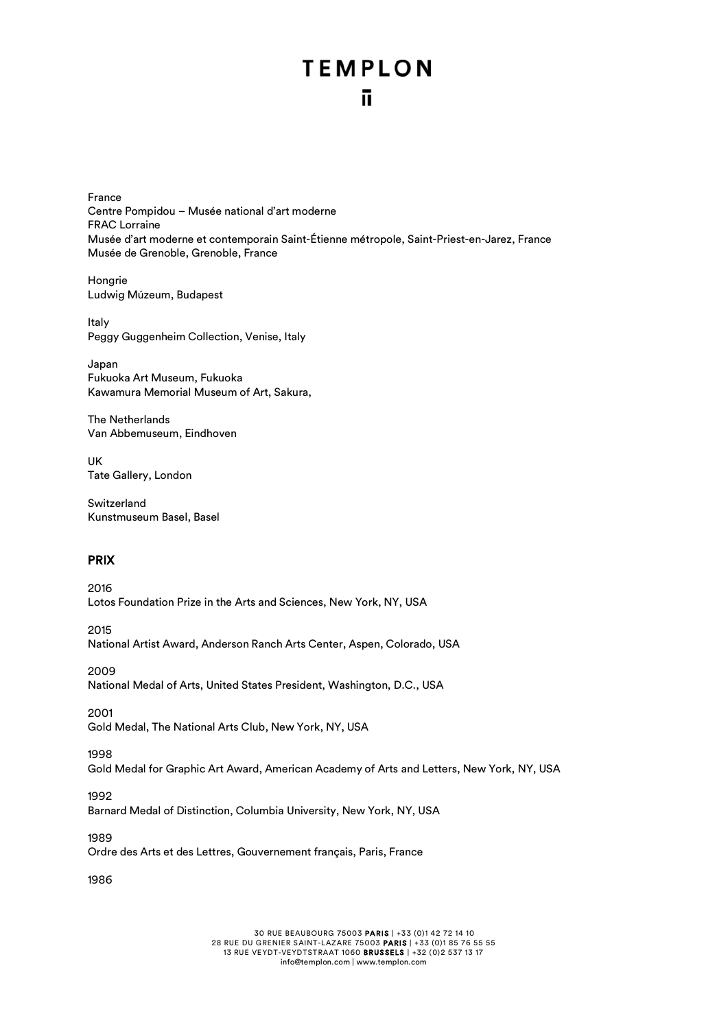## **TEMPLON** ñ.

France Centre Pompidou – Musée national d'art moderne FRAC Lorraine Musée d'art moderne et contemporain Saint-Étienne métropole, Saint-Priest-en-Jarez, France Musée de Grenoble, Grenoble, France

Hongrie Ludwig Múzeum, Budapest

Italy Peggy Guggenheim Collection, Venise, Italy

Japan Fukuoka Art Museum, Fukuoka Kawamura Memorial Museum of Art, Sakura,

The Netherlands Van Abbemuseum, Eindhoven

UK Tate Gallery, London

**Switzerland** Kunstmuseum Basel, Basel

#### PRIX

2016 Lotos Foundation Prize in the Arts and Sciences, New York, NY, USA

2015 National Artist Award, Anderson Ranch Arts Center, Aspen, Colorado, USA

2009 National Medal of Arts, United States President, Washington, D.C., USA

2001 Gold Medal, The National Arts Club, New York, NY, USA

1998

Gold Medal for Graphic Art Award, American Academy of Arts and Letters, New York, NY, USA

1992

Barnard Medal of Distinction, Columbia University, New York, NY, USA

1989

Ordre des Arts et des Lettres, Gouvernement français, Paris, France

1986